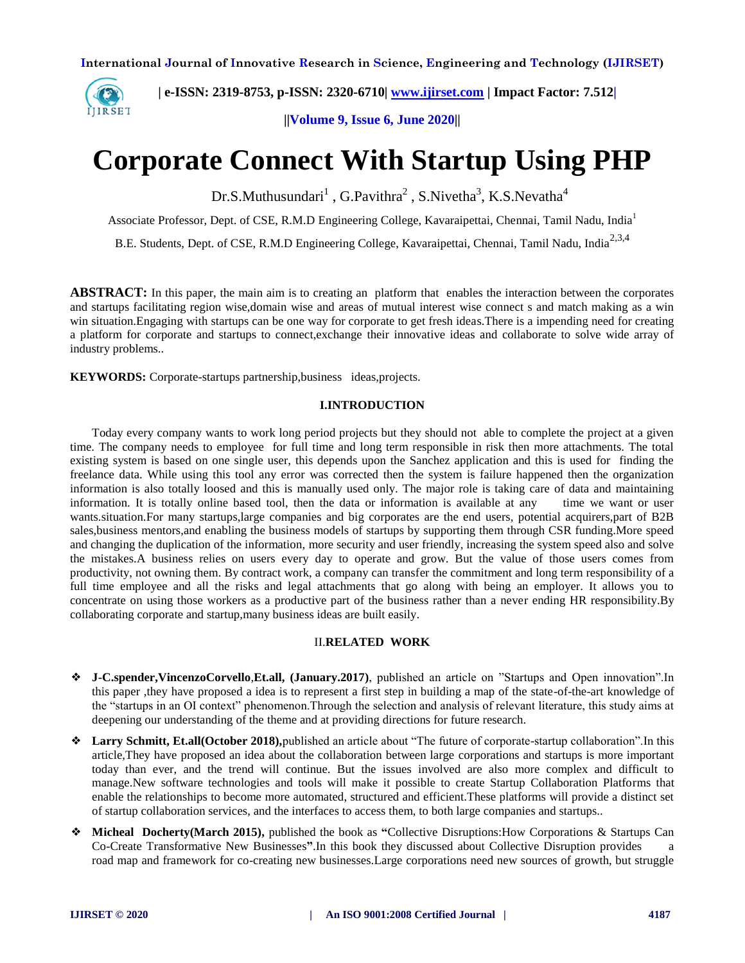

 **| e-ISSN: 2319-8753, p-ISSN: 2320-6710| [www.ijirset.com](http://www.ijirset.com/) | Impact Factor: 7.512|**

**||Volume 9, Issue 6, June 2020||** 

# **Corporate Connect With Startup Using PHP**

 $Dr.S.Muthusundari<sup>1</sup>$ , G.Pavithra<sup>2</sup>, S.Nivetha<sup>3</sup>, K.S.Nevatha<sup>4</sup>

Associate Professor, Dept. of CSE, R.M.D Engineering College, Kavaraipettai, Chennai, Tamil Nadu, India<sup>1</sup>

B.E. Students, Dept. of CSE, R.M.D Engineering College, Kavaraipettai, Chennai, Tamil Nadu. India<sup>2,3,4</sup>

**ABSTRACT:** In this paper, the main aim is to creating an platform that enables the interaction between the corporates and startups facilitating region wise,domain wise and areas of mutual interest wise connect s and match making as a win win situation.Engaging with startups can be one way for corporate to get fresh ideas.There is a impending need for creating a platform for corporate and startups to connect,exchange their innovative ideas and collaborate to solve wide array of industry problems..

**KEYWORDS:** Corporate-startups partnership,business ideas,projects.

#### **I.INTRODUCTION**

 Today every company wants to work long period projects but they should not able to complete the project at a given time. The company needs to employee for full time and long term responsible in risk then more attachments. The total existing system is based on one single user, this depends upon the Sanchez application and this is used for finding the freelance data. While using this tool any error was corrected then the system is failure happened then the organization information is also totally loosed and this is manually used only. The major role is taking care of data and maintaining information. It is totally online based tool, then the data or information is available at any time we want or user wants.situation.For many startups,large companies and big corporates are the end users, potential acquirers,part of B2B sales,business mentors,and enabling the business models of startups by supporting them through CSR funding.More speed and changing the duplication of the information, more security and user friendly, increasing the system speed also and solve the mistakes.A business relies on users every day to operate and grow. But the value of those users comes from productivity, not owning them. By contract work, a company can transfer the commitment and long term responsibility of a full time employee and all the risks and legal attachments that go along with being an employer. It allows you to concentrate on using those workers as a productive part of the business rather than a never ending HR responsibility.By collaborating corporate and startup,many business ideas are built easily.

## II.**RELATED WORK**

- ❖ **J-C.spender,VincenzoCorvello**,**Et.all, (January.2017)**, published an article on "Startups and Open innovation".In this paper ,they have proposed a idea is to represent a first step in building a map of the state-of-the-art knowledge of the "startups in an OI context" phenomenon.Through the selection and analysis of relevant literature, this study aims at deepening our understanding of the theme and at providing directions for future research.
- ❖ **Larry Schmitt, Et.all(October 2018),**published an article about "The future of corporate-startup collaboration".In this article,They have proposed an idea about the collaboration between large corporations and startups is more important today than ever, and the trend will continue. But the issues involved are also more complex and difficult to manage.New software technologies and tools will make it possible to create Startup Collaboration Platforms that enable the relationships to become more automated, structured and efficient.These platforms will provide a distinct set of startup collaboration services, and the interfaces to access them, to both large companies and startups..
- ❖ **Micheal Docherty(March 2015),** published the book as **"**Collective Disruptions:How Corporations & Startups Can Co-Create Transformative New Businesses**"**.In this book they discussed about Collective Disruption provides a road map and framework for co-creating new businesses.Large corporations need new sources of growth, but struggle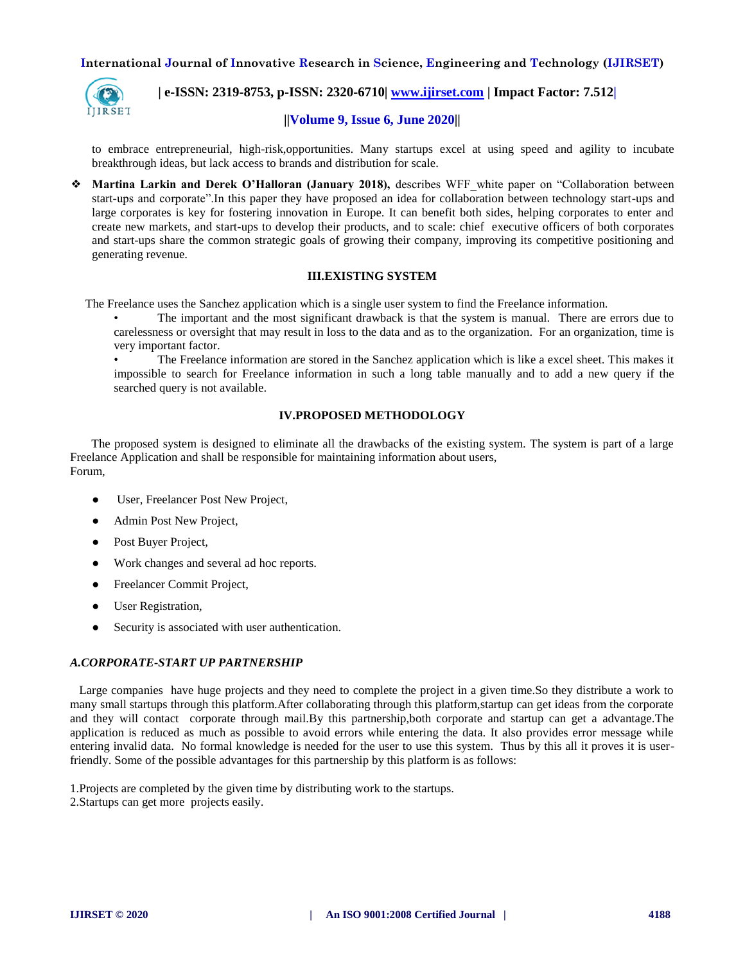

 **| e-ISSN: 2319-8753, p-ISSN: 2320-6710| [www.ijirset.com](http://www.ijirset.com/) | Impact Factor: 7.512|**

# **||Volume 9, Issue 6, June 2020||**

to embrace entrepreneurial, high-risk,opportunities. Many startups excel at using speed and agility to incubate breakthrough ideas, but lack access to brands and distribution for scale.

❖ **Martina Larkin and Derek O'Halloran (January 2018),** describes WFF\_white paper on "Collaboration between start-ups and corporate".In this paper they have proposed an idea for collaboration between technology start-ups and large corporates is key for fostering innovation in Europe. It can benefit both sides, helping corporates to enter and create new markets, and start-ups to develop their products, and to scale: chief executive officers of both corporates and start-ups share the common strategic goals of growing their company, improving its competitive positioning and generating revenue.

# **III.EXISTING SYSTEM**

The Freelance uses the Sanchez application which is a single user system to find the Freelance information.

• The important and the most significant drawback is that the system is manual. There are errors due to carelessness or oversight that may result in loss to the data and as to the organization. For an organization, time is very important factor.

• The Freelance information are stored in the Sanchez application which is like a excel sheet. This makes it impossible to search for Freelance information in such a long table manually and to add a new query if the searched query is not available.

# **IV.PROPOSED METHODOLOGY**

 The proposed system is designed to eliminate all the drawbacks of the existing system. The system is part of a large Freelance Application and shall be responsible for maintaining information about users, Forum,

- User, Freelancer Post New Project,
- Admin Post New Project,
- Post Buyer Project,
- Work changes and several ad hoc reports.
- Freelancer Commit Project,
- User Registration,
- Security is associated with user authentication.

#### *A.CORPORATE-START UP PARTNERSHIP*

 Large companies have huge projects and they need to complete the project in a given time.So they distribute a work to many small startups through this platform.After collaborating through this platform,startup can get ideas from the corporate and they will contact corporate through mail.By this partnership,both corporate and startup can get a advantage.The application is reduced as much as possible to avoid errors while entering the data. It also provides error message while entering invalid data. No formal knowledge is needed for the user to use this system. Thus by this all it proves it is userfriendly. Some of the possible advantages for this partnership by this platform is as follows:

1.Projects are completed by the given time by distributing work to the startups. 2.Startups can get more projects easily.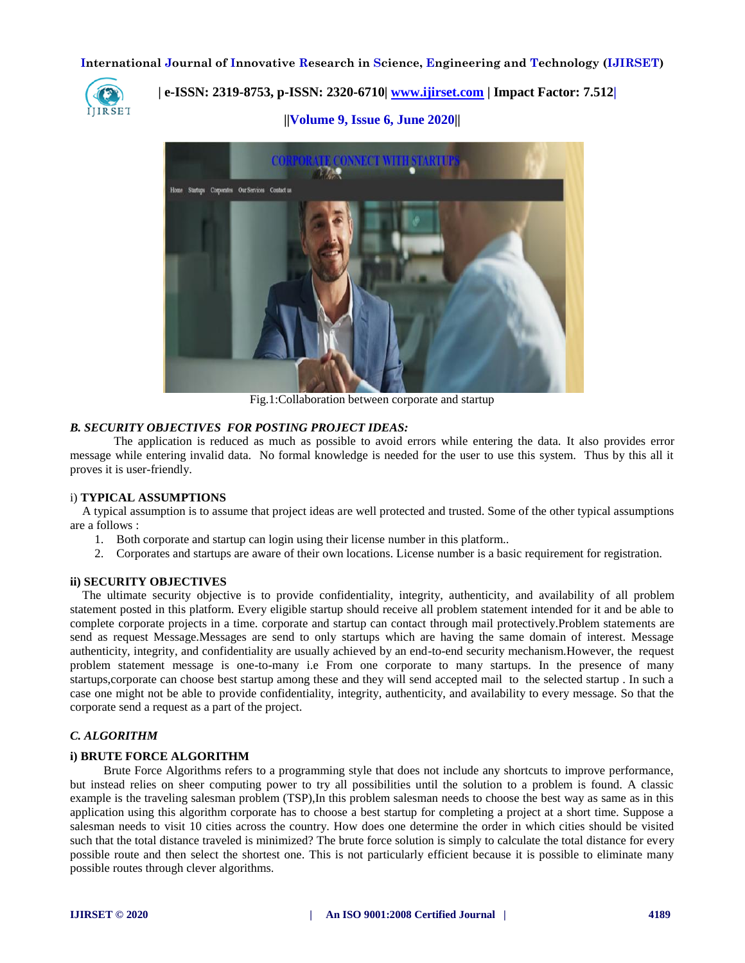

# **| e-ISSN: 2319-8753, p-ISSN: 2320-6710| [www.ijirset.com](http://www.ijirset.com/) | Impact Factor: 7.512|**

**||Volume 9, Issue 6, June 2020||** 



Fig.1:Collaboration between corporate and startup

#### *B. SECURITY OBJECTIVES FOR POSTING PROJECT IDEAS:*

The application is reduced as much as possible to avoid errors while entering the data. It also provides error message while entering invalid data. No formal knowledge is needed for the user to use this system. Thus by this all it proves it is user-friendly.

#### i) **TYPICAL ASSUMPTIONS**

 A typical assumption is to assume that project ideas are well protected and trusted. Some of the other typical assumptions are a follows :

- 1. Both corporate and startup can login using their license number in this platform..
- 2. Corporates and startups are aware of their own locations. License number is a basic requirement for registration.

#### **ii) SECURITY OBJECTIVES**

 The ultimate security objective is to provide confidentiality, integrity, authenticity, and availability of all problem statement posted in this platform. Every eligible startup should receive all problem statement intended for it and be able to complete corporate projects in a time. corporate and startup can contact through mail protectively.Problem statements are send as request Message.Messages are send to only startups which are having the same domain of interest. Message authenticity, integrity, and confidentiality are usually achieved by an end-to-end security mechanism.However, the request problem statement message is one-to-many i.e From one corporate to many startups. In the presence of many startups,corporate can choose best startup among these and they will send accepted mail to the selected startup . In such a case one might not be able to provide confidentiality, integrity, authenticity, and availability to every message. So that the corporate send a request as a part of the project.

#### *C. ALGORITHM*

#### **i) BRUTE FORCE ALGORITHM**

 Brute Force Algorithms refers to a programming style that does not include any shortcuts to improve performance, but instead relies on sheer computing power to try all possibilities until the solution to a problem is found. A classic example is the traveling salesman problem (TSP),In this problem salesman needs to choose the best way as same as in this application using this algorithm corporate has to choose a best startup for completing a project at a short time. Suppose a salesman needs to visit 10 cities across the country. How does one determine the order in which cities should be visited such that the total distance traveled is minimized? The brute force solution is simply to calculate the total distance for every possible route and then select the shortest one. This is not particularly efficient because it is possible to eliminate many possible routes through clever algorithms.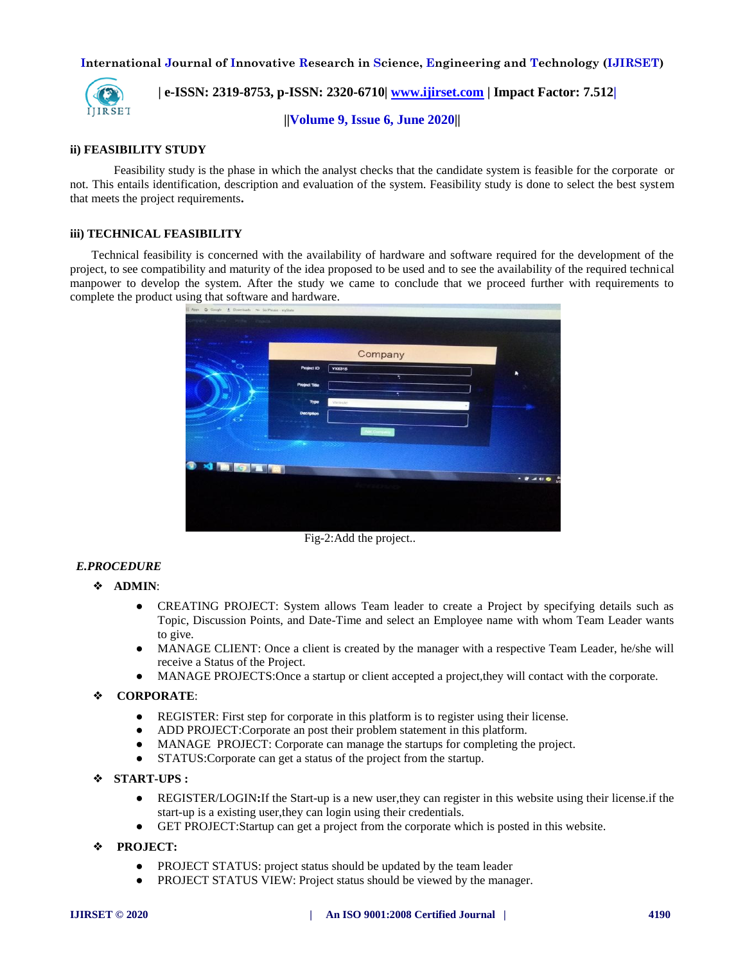

 **| e-ISSN: 2319-8753, p-ISSN: 2320-6710| [www.ijirset.com](http://www.ijirset.com/) | Impact Factor: 7.512|**

**||Volume 9, Issue 6, June 2020||** 

# **ii) FEASIBILITY STUDY**

Feasibility study is the phase in which the analyst checks that the candidate system is feasible for the corporate or not. This entails identification, description and evaluation of the system. Feasibility study is done to select the best system that meets the project requirements**.** 

## **iii) TECHNICAL FEASIBILITY**

 Technical feasibility is concerned with the availability of hardware and software required for the development of the project, to see compatibility and maturity of the idea proposed to be used and to see the availability of the required technical manpower to develop the system. After the study we came to conclude that we proceed further with requirements to complete the product using that software and hardware.



Fig-2:Add the project..

# *E.PROCEDURE*

- ❖ **ADMIN**:
	- CREATING PROJECT: System allows Team leader to create a Project by specifying details such as Topic, Discussion Points, and Date-Time and select an Employee name with whom Team Leader wants to give.
	- MANAGE CLIENT: Once a client is created by the manager with a respective Team Leader, he/she will receive a Status of the Project.
	- MANAGE PROJECTS: Once a startup or client accepted a project, they will contact with the corporate.

# ❖ **CORPORATE**:

- REGISTER: First step for corporate in this platform is to register using their license.
- ADD PROJECT:Corporate an post their problem statement in this platform.
- MANAGE PROJECT: Corporate can manage the startups for completing the project.
- STATUS: Corporate can get a status of the project from the startup.
- ❖ **START-UPS :**
	- REGISTER/LOGIN**:**If the Start-up is a new user,they can register in this website using their license.if the start-up is a existing user,they can login using their credentials.
	- GET PROJECT:Startup can get a project from the corporate which is posted in this website.
- ❖ **PROJECT:**
	- PROJECT STATUS: project status should be updated by the team leader
	- PROJECT STATUS VIEW: Project status should be viewed by the manager.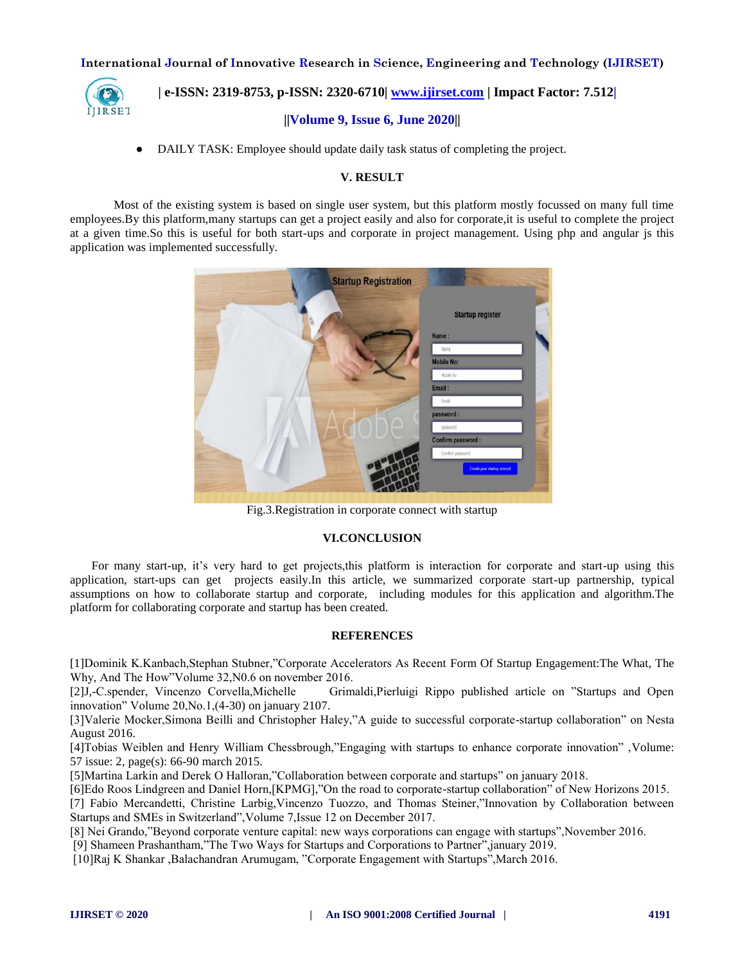

 **| e-ISSN: 2319-8753, p-ISSN: 2320-6710| [www.ijirset.com](http://www.ijirset.com/) | Impact Factor: 7.512|**

# **||Volume 9, Issue 6, June 2020||**

• DAILY TASK: Employee should update daily task status of completing the project.

# **V. RESULT**

Most of the existing system is based on single user system, but this platform mostly focussed on many full time employees.By this platform,many startups can get a project easily and also for corporate,it is useful to complete the project at a given time.So this is useful for both start-ups and corporate in project management. Using php and angular js this application was implemented successfully.



Fig.3.Registration in corporate connect with startup

#### **VI.CONCLUSION**

For many start-up, it's very hard to get projects,this platform is interaction for corporate and start-up using this application, start-ups can get projects easily.In this article, we summarized corporate start-up partnership, typical assumptions on how to collaborate startup and corporate, including modules for this application and algorithm.The platform for collaborating corporate and startup has been created.

#### **REFERENCES**

[1]Dominik K.Kanbach,Stephan Stubner,"Corporate Accelerators As Recent Form Of Startup Engagement:The What, The Why, And The How"Volume 32,N0.6 on november 2016.

[2]J,-C.spender, Vincenzo Corvella,Michelle Grimaldi,Pierluigi Rippo published article on "Startups and Open innovation" Volume 20,No.1,(4-30) on january 2107.

[3]Valerie Mocker,Simona Beilli and Christopher Haley,"A guide to successful corporate-startup collaboration" on Nesta August 2016.

[4]Tobias Weiblen and Henry William Chessbrough,"Engaging with startups to enhance corporate innovation" ,Volume: 57 issue: 2, page(s): 66-90 march 2015.

[5]Martina Larkin and Derek O Halloran,"Collaboration between corporate and startups" on january 2018.

[6]Edo Roos Lindgreen and Daniel Horn,[KPMG],"On the road to corporate-startup collaboration" of New Horizons 2015.

[7] Fabio Mercandetti, Christine Larbig,Vincenzo Tuozzo, and Thomas Steiner,"Innovation by Collaboration between Startups and SMEs in Switzerland",Volume 7,Issue 12 on December 2017.

[8] Nei Grando,"Beyond corporate venture capital: new ways corporations can engage with startups",November 2016.

[9] Shameen Prashantham,"The Two Ways for Startups and Corporations to Partner",january 2019.

[10]Raj K Shankar ,Balachandran Arumugam, "Corporate Engagement with Startups",March 2016.